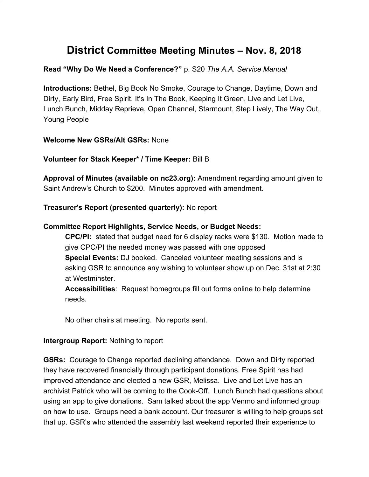# **District Committee Meeting Minutes – Nov. 8, 2018**

## **Read "Why Do We Need a Conference?"** p. S20 *The A.A. Service Manual*

**Introductions:** Bethel, Big Book No Smoke, Courage to Change, Daytime, Down and Dirty, Early Bird, Free Spirit, It's In The Book, Keeping It Green, Live and Let Live, Lunch Bunch, Midday Reprieve, Open Channel, Starmount, Step Lively, The Way Out, Young People

#### **Welcome New GSRs/Alt GSRs:** None

**Volunteer for Stack Keeper\* / Time Keeper:** Bill B

**Approval of Minutes (available on nc23.org):** Amendment regarding amount given to Saint Andrew's Church to \$200. Minutes approved with amendment.

#### **Treasurer's Report (presented quarterly):** No report

#### **Committee Report Highlights, Service Needs, or Budget Needs:**

**CPC/PI:** stated that budget need for 6 display racks were \$130. Motion made to give CPC/PI the needed money was passed with one opposed **Special Events:** DJ booked. Canceled volunteer meeting sessions and is asking GSR to announce any wishing to volunteer show up on Dec. 31st at 2:30 at Westminster.

**Accessibilities**: Request homegroups fill out forms online to help determine needs.

No other chairs at meeting. No reports sent.

#### **Intergroup Report:** Nothing to report

**GSRs:** Courage to Change reported declining attendance. Down and Dirty reported they have recovered financially through participant donations. Free Spirit has had improved attendance and elected a new GSR, Melissa. Live and Let Live has an archivist Patrick who will be coming to the Cook-Off. Lunch Bunch had questions about using an app to give donations. Sam talked about the app Venmo and informed group on how to use. Groups need a bank account. Our treasurer is willing to help groups set that up. GSR's who attended the assembly last weekend reported their experience to